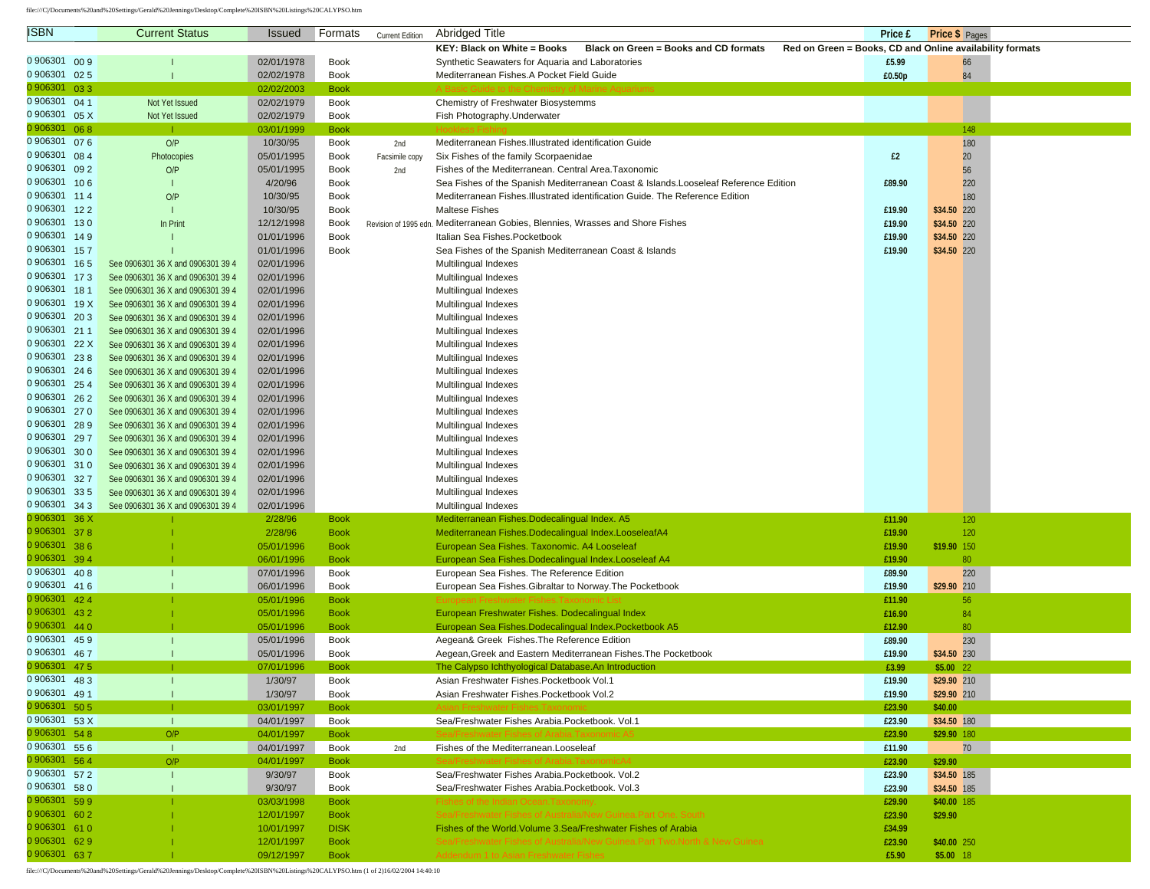file:///C|/Documents%20and%20Settings/Gerald%20Jennings/Desktop/Complete%20ISBN%20Listings%20CALYPSO.htm

| <b>ISBN</b>                    |     | <b>Current Status</b>                                                  | <b>Issued</b>            | Formats                    | <b>Current Edition</b> | <b>Abridged Title</b>                                                                                         | Price £          | Price \$ Pages                                           |
|--------------------------------|-----|------------------------------------------------------------------------|--------------------------|----------------------------|------------------------|---------------------------------------------------------------------------------------------------------------|------------------|----------------------------------------------------------|
|                                |     |                                                                        |                          |                            |                        | KEY: Black on White = Books<br>Black on Green = Books and CD formats                                          |                  | Red on Green = Books, CD and Online availability formats |
| 0 906301 00 9                  |     |                                                                        | 02/01/1978               | <b>Book</b>                |                        | Synthetic Seawaters for Aquaria and Laboratories                                                              | £5.99            | 66                                                       |
| 0 906301                       | 025 |                                                                        | 02/02/1978               | <b>Book</b>                |                        | Mediterranean Fishes.A Pocket Field Guide                                                                     | £0.50p           | 84                                                       |
| 0 906301 033                   |     |                                                                        | 02/02/2003               | <b>Book</b>                |                        |                                                                                                               |                  |                                                          |
| 0 906301 04 1                  |     | Not Yet Issued                                                         | 02/02/1979               | <b>Book</b>                |                        | Chemistry of Freshwater Biosystemms                                                                           |                  |                                                          |
| 0 906301 05 X                  |     | Not Yet Issued                                                         | 02/02/1979               | <b>Book</b>                |                        | Fish Photography.Underwater                                                                                   |                  |                                                          |
| 0 906301 068                   |     |                                                                        | 03/01/1999               | <b>Book</b>                |                        |                                                                                                               |                  | 148                                                      |
| 0 906301                       | 076 | O/P                                                                    | 10/30/95                 | <b>Book</b>                | 2nd                    | Mediterranean Fishes. Illustrated identification Guide                                                        |                  | 180                                                      |
| 0 906301 08 4                  |     | Photocopies                                                            | 05/01/1995               | <b>Book</b>                | Facsimile copy         | Six Fishes of the family Scorpaenidae                                                                         | £2               | 20                                                       |
| 0 906301 09 2                  |     | O/P                                                                    | 05/01/1995               | <b>Book</b>                | 2nd                    | Fishes of the Mediterranean. Central Area. Taxonomic                                                          |                  | 56                                                       |
| 0906301 106                    |     |                                                                        | 4/20/96                  | <b>Book</b>                |                        | Sea Fishes of the Spanish Mediterranean Coast & Islands. Looseleaf Reference Edition                          | £89.90           | 220                                                      |
| 0 906301 114                   |     | O/P                                                                    | 10/30/95                 | <b>Book</b>                |                        | Mediterranean Fishes. Illustrated identification Guide. The Reference Edition                                 |                  | 180                                                      |
| 0 906301 12 2                  |     | $\mathbf{I}$                                                           | 10/30/95                 | <b>Book</b>                |                        | <b>Maltese Fishes</b>                                                                                         | £19.90           | \$34.50 220                                              |
| 0906301 130                    |     | In Print                                                               | 12/12/1998               | <b>Book</b>                |                        | Revision of 1995 edn. Mediterranean Gobies, Blennies, Wrasses and Shore Fishes                                | £19.90           | \$34.50 220                                              |
| 0 906301 14 9                  |     |                                                                        | 01/01/1996               | <b>Book</b>                |                        | Italian Sea Fishes. Pocketbook                                                                                | £19.90           | \$34.50 220                                              |
| 0 906301 157                   |     |                                                                        | 01/01/1996               | <b>Book</b>                |                        | Sea Fishes of the Spanish Mediterranean Coast & Islands                                                       | £19.90           | \$34.50 220                                              |
| 0 906301 165                   |     | See 0906301 36 X and 0906301 39 4                                      | 02/01/1996               |                            |                        | Multilingual Indexes                                                                                          |                  |                                                          |
| 0 906301 173                   |     | See 0906301 36 X and 0906301 39 4                                      | 02/01/1996               |                            |                        | Multilingual Indexes                                                                                          |                  |                                                          |
| 0 906301 181                   |     | See 0906301 36 X and 0906301 39 4                                      | 02/01/1996               |                            |                        | Multilingual Indexes                                                                                          |                  |                                                          |
| 0 906301 19 X                  |     | See 0906301 36 X and 0906301 39 4                                      | 02/01/1996               |                            |                        | Multilingual Indexes                                                                                          |                  |                                                          |
| 0 906301 203                   |     | See 0906301 36 X and 0906301 39 4                                      | 02/01/1996               |                            |                        | Multilingual Indexes                                                                                          |                  |                                                          |
| 0 906301 211                   |     | See 0906301 36 X and 0906301 39 4                                      | 02/01/1996               |                            |                        | Multilingual Indexes                                                                                          |                  |                                                          |
| 0 906301 22 X                  |     | See 0906301 36 X and 0906301 39 4                                      | 02/01/1996               |                            |                        | Multilingual Indexes                                                                                          |                  |                                                          |
| 0 906301 238                   |     | See 0906301 36 X and 0906301 39 4                                      | 02/01/1996               |                            |                        | Multilingual Indexes                                                                                          |                  |                                                          |
| 0 906301 246                   |     | See 0906301 36 X and 0906301 39 4                                      | 02/01/1996               |                            |                        | Multilingual Indexes                                                                                          |                  |                                                          |
| 0 906301 25 4<br>0 906301 26 2 |     | See 0906301 36 X and 0906301 39 4                                      | 02/01/1996               |                            |                        | Multilingual Indexes                                                                                          |                  |                                                          |
| 0 906301 27 0                  |     | See 0906301 36 X and 0906301 39 4                                      | 02/01/1996               |                            |                        | Multilingual Indexes                                                                                          |                  |                                                          |
| 0 906301 28 9                  |     | See 0906301 36 X and 0906301 39 4                                      | 02/01/1996               |                            |                        | Multilingual Indexes                                                                                          |                  |                                                          |
| 0 906301                       | 297 | See 0906301 36 X and 0906301 39 4<br>See 0906301 36 X and 0906301 39 4 | 02/01/1996<br>02/01/1996 |                            |                        | Multilingual Indexes<br>Multilingual Indexes                                                                  |                  |                                                          |
| 0 906301 30 0                  |     | See 0906301 36 X and 0906301 39 4                                      | 02/01/1996               |                            |                        | Multilingual Indexes                                                                                          |                  |                                                          |
| 0 906301 310                   |     | See 0906301 36 X and 0906301 39 4                                      | 02/01/1996               |                            |                        | Multilingual Indexes                                                                                          |                  |                                                          |
| 0 906301 327                   |     | See 0906301 36 X and 0906301 39 4                                      | 02/01/1996               |                            |                        | Multilingual Indexes                                                                                          |                  |                                                          |
| 0 906301 335                   |     | See 0906301 36 X and 0906301 39 4                                      | 02/01/1996               |                            |                        | Multilingual Indexes                                                                                          |                  |                                                          |
| 0 906301 34 3                  |     | See 0906301 36 X and 0906301 39 4                                      | 02/01/1996               |                            |                        | Multilingual Indexes                                                                                          |                  |                                                          |
| 0 906301 36 X                  |     |                                                                        | 2/28/96                  | <b>Book</b>                |                        | Mediterranean Fishes. Dodecalingual Index. A5                                                                 | £11.90           | 120                                                      |
| 0 906301 378                   |     |                                                                        | 2/28/96                  | <b>Book</b>                |                        | Mediterranean Fishes. Dodecalingual Index. LooseleafA4                                                        | £19.90           | 120                                                      |
| 0 906301 38 6                  |     |                                                                        | 05/01/1996               | <b>Book</b>                |                        | European Sea Fishes. Taxonomic. A4 Looseleaf                                                                  | £19.90           | \$19.90 150                                              |
| 0 906301 394                   |     |                                                                        | 06/01/1996               | <b>Book</b>                |                        | European Sea Fishes. Dodecalingual Index. Looseleaf A4                                                        | £19.90           | 80                                                       |
| 0 906301 408                   |     | $\mathbf{I}$                                                           | 07/01/1996               | <b>Book</b>                |                        | European Sea Fishes. The Reference Edition                                                                    | £89.90           | 220                                                      |
| 0 906301 416                   |     |                                                                        | 06/01/1996               | <b>Book</b>                |                        | European Sea Fishes. Gibraltar to Norway. The Pocketbook                                                      | £19.90           | \$29.90 210                                              |
| 0 906301 42 4                  |     |                                                                        | 05/01/1996               | <b>Book</b>                |                        |                                                                                                               | £11.90           | 56                                                       |
| 0 906301 43 2<br>0 906301 44 0 |     |                                                                        | 05/01/1996               | <b>Book</b>                |                        | European Freshwater Fishes. Dodecalingual Index                                                               | £16.90           | 84                                                       |
| 0 906301 45 9                  |     |                                                                        | 05/01/1996<br>05/01/1996 | <b>Book</b><br><b>Book</b> |                        | European Sea Fishes. Dodecalingual Index. Pocketbook A5                                                       | £12.90           | 80                                                       |
| 0 906301 467                   |     |                                                                        | 05/01/1996               | <b>Book</b>                |                        | Aegean& Greek Fishes. The Reference Edition<br>Aegean, Greek and Eastern Mediterranean Fishes. The Pocketbook | £89.90<br>£19.90 | 230<br>\$34.50 230                                       |
| 0 906301 47 5                  |     |                                                                        | 07/01/1996               | <b>Book</b>                |                        | The Calypso Ichthyological Database. An Introduction                                                          | £3.99            | \$5.00 22                                                |
| 0 906301 48 3                  |     |                                                                        | 1/30/97                  | Book                       |                        | Asian Freshwater Fishes. Pocketbook Vol.1                                                                     | £19.90           | \$29.90 210                                              |
| 0 906301 49 1                  |     |                                                                        | 1/30/97                  | <b>Book</b>                |                        | Asian Freshwater Fishes.Pocketbook Vol.2                                                                      | £19.90           | \$29.90 210                                              |
| 0 906301 50 5                  |     |                                                                        | 03/01/1997               | <b>Book</b>                |                        |                                                                                                               | £23.90           | \$40.00                                                  |
| 0 906301 53 X                  |     | $\mathbf{L}$                                                           | 04/01/1997               | <b>Book</b>                |                        | Sea/Freshwater Fishes Arabia.Pocketbook. Vol.1                                                                | £23.90           | \$34.50 180                                              |
| 0 906301 54 8                  |     | O/P                                                                    | 04/01/1997               | <b>Book</b>                |                        | Freshwater Fishes of Arahia Taxı                                                                              | £23.90           | \$29.90 180                                              |
| 0 906301 55 6                  |     | $\mathbf{L}$                                                           | 04/01/1997               | Book                       | 2nd                    | Fishes of the Mediterranean.Looseleaf                                                                         | £11.90           | 70                                                       |
| 0 906301 56 4                  |     | O/P                                                                    | 04/01/1997               | <b>Book</b>                |                        | Sea/Freshwater Fishes of Arabia. TaxonomicA4                                                                  | £23.90           | \$29.90                                                  |
| 0 906301 57 2                  |     | Т                                                                      | 9/30/97                  | <b>Book</b>                |                        | Sea/Freshwater Fishes Arabia.Pocketbook. Vol.2                                                                | £23.90           | \$34.50 185                                              |
| 0 906301 58 0                  |     |                                                                        | 9/30/97                  | Book                       |                        | Sea/Freshwater Fishes Arabia.Pocketbook. Vol.3                                                                | £23.90           | \$34.50 185                                              |
| 0 906301 59 9                  |     |                                                                        | 03/03/1998               | <b>Book</b>                |                        | Fishes of the Indian Ocean.Taxonomy                                                                           | £29.90           | \$40.00 185                                              |
| 0 906301 60 2                  |     |                                                                        | 12/01/1997               | <b>Book</b>                |                        | Sea/Freshwater Fishes of Australia/New Guinea.Part One. South                                                 | £23.90           | \$29.90                                                  |
| 0 906301 61 0                  |     |                                                                        | 10/01/1997               | <b>DISK</b>                |                        | Fishes of the World. Volume 3. Sea/Freshwater Fishes of Arabia                                                | £34.99           |                                                          |
| 0 906301 62 9                  |     |                                                                        | 12/01/1997               | <b>Book</b>                |                        | Sea/Freshwater Fishes of Australia/New Guinea.Part Two.North & New Guinea                                     | £23.90           | \$40.00 250                                              |
| 0 906301 637                   |     |                                                                        | 09/12/1997               | <b>Book</b>                |                        | Addendum 1 to Asian Freshwater Fishes                                                                         | £5.90            | $$5.00$ 18                                               |